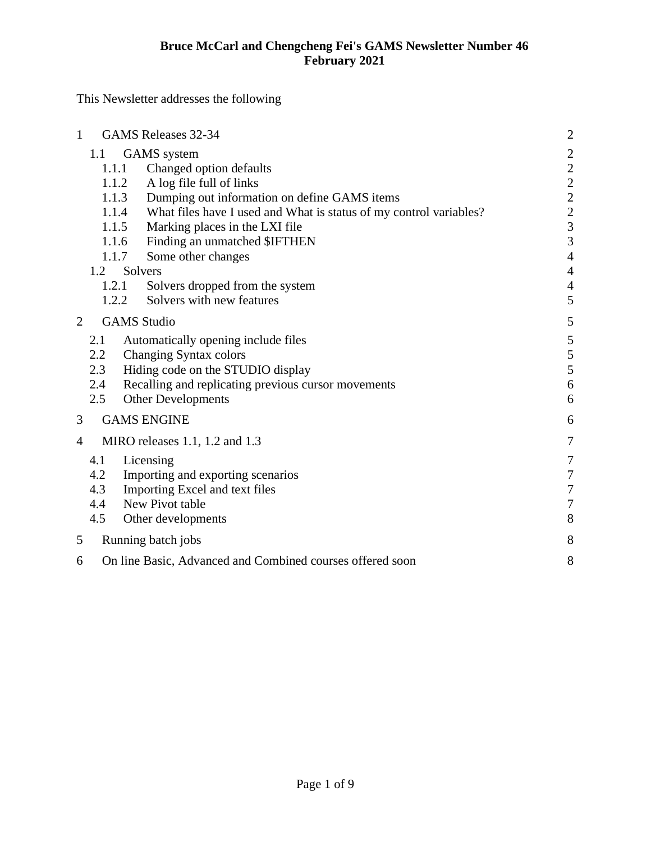This Newsletter addresses the following

| $\mathbf{1}$             |                                                                                    | <b>GAMS</b> Releases 32-34                                                                                                                                                                                                                                                                                                             | $\overline{c}$                                                                                                                      |
|--------------------------|------------------------------------------------------------------------------------|----------------------------------------------------------------------------------------------------------------------------------------------------------------------------------------------------------------------------------------------------------------------------------------------------------------------------------------|-------------------------------------------------------------------------------------------------------------------------------------|
|                          | 1.1<br>1.1.1<br>1.1.2<br>1.1.3<br>1.1.4<br>1.1.5<br>1.1.6<br>1.1.7<br>1.2<br>1.2.1 | <b>GAMS</b> system<br>Changed option defaults<br>A log file full of links<br>Dumping out information on define GAMS items<br>What files have I used and What is status of my control variables?<br>Marking places in the LXI file<br>Finding an unmatched \$IFTHEN<br>Some other changes<br>Solvers<br>Solvers dropped from the system | $\begin{array}{c} 2 \\ 2 \\ 2 \end{array}$<br>$\frac{2}{3}$<br>$\overline{3}$<br>$\overline{4}$<br>$\overline{4}$<br>$\overline{A}$ |
| $\overline{2}$           | 1.2.2<br><b>GAMS</b> Studio                                                        | Solvers with new features                                                                                                                                                                                                                                                                                                              | 5<br>5                                                                                                                              |
|                          | 2.1<br>2.2<br>2.3<br>2.4<br>2.5                                                    | Automatically opening include files<br>Changing Syntax colors<br>Hiding code on the STUDIO display<br>Recalling and replicating previous cursor movements<br><b>Other Developments</b>                                                                                                                                                 | 5<br>5<br>5<br>6<br>6                                                                                                               |
| 3                        |                                                                                    | <b>GAMS ENGINE</b>                                                                                                                                                                                                                                                                                                                     | 6                                                                                                                                   |
| $\overline{\mathcal{A}}$ | MIRO releases $1.1$ , $1.2$ and $1.3$                                              |                                                                                                                                                                                                                                                                                                                                        | $\overline{7}$                                                                                                                      |
|                          | 4.1<br>4.2<br>4.3<br>4.4<br>4.5                                                    | Licensing<br>Importing and exporting scenarios<br>Importing Excel and text files<br>New Pivot table<br>Other developments                                                                                                                                                                                                              | 7<br>$\overline{7}$<br>$\overline{7}$<br>7<br>8                                                                                     |
| 5<br>Running batch jobs  |                                                                                    | 8                                                                                                                                                                                                                                                                                                                                      |                                                                                                                                     |
| 6                        | On line Basic, Advanced and Combined courses offered soon                          |                                                                                                                                                                                                                                                                                                                                        |                                                                                                                                     |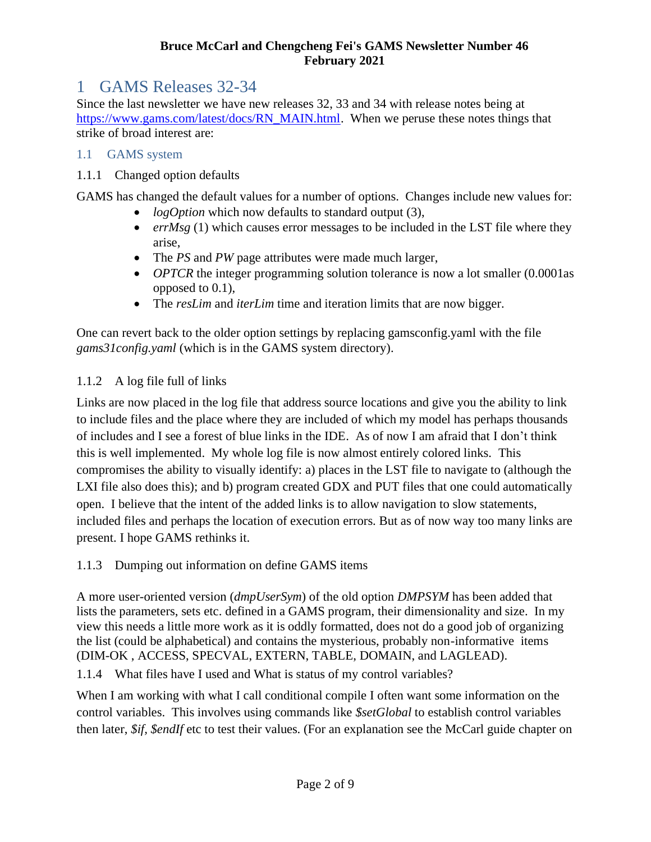# <span id="page-1-0"></span>1 GAMS Releases 32-34

Since the last newsletter we have new releases 32, 33 and 34 with release notes being at [https://www.gams.com/latest/docs/RN\\_MAIN.html.](https://www.gams.com/latest/docs/RN_MAIN.html) When we peruse these notes things that strike of broad interest are:

#### <span id="page-1-1"></span>1.1 GAMS system

#### <span id="page-1-2"></span>1.1.1 Changed option defaults

GAMS has changed the default values for a number of options. Changes include new values for:

- *logOption* which now defaults to standard output (3),
- *errMsg* (1) which causes error messages to be included in the LST file where they arise,
- The *PS* and *PW* page attributes were made much larger,
- *OPTCR* the integer programming solution tolerance is now a lot smaller (0.0001as opposed to 0.1),
- The *resLim* and *iterLim* time and iteration limits that are now bigger.

One can revert back to the older option settings by replacing gamsconfig.yaml with the file *gams31config.yaml* (which is in the GAMS system directory).

#### <span id="page-1-3"></span>1.1.2 A log file full of links

Links are now placed in the log file that address source locations and give you the ability to link to include files and the place where they are included of which my model has perhaps thousands of includes and I see a forest of blue links in the IDE. As of now I am afraid that I don't think this is well implemented. My whole log file is now almost entirely colored links. This compromises the ability to visually identify: a) places in the LST file to navigate to (although the LXI file also does this); and b) program created GDX and PUT files that one could automatically open. I believe that the intent of the added links is to allow navigation to slow statements, included files and perhaps the location of execution errors. But as of now way too many links are present. I hope GAMS rethinks it.

<span id="page-1-4"></span>1.1.3 Dumping out information on define GAMS items

A more user-oriented version (*dmpUserSym*) of the old option *DMPSYM* has been added that lists the parameters, sets etc. defined in a GAMS program, their dimensionality and size. In my view this needs a little more work as it is oddly formatted, does not do a good job of organizing the list (could be alphabetical) and contains the mysterious, probably non-informative items (DIM-OK , ACCESS, SPECVAL, EXTERN, TABLE, DOMAIN, and LAGLEAD).

<span id="page-1-5"></span>1.1.4 What files have I used and What is status of my control variables?

When I am working with what I call conditional compile I often want some information on the control variables. This involves using commands like *\$setGlobal* to establish control variables then later, *\$if, \$endIf* etc to test their values. (For an explanation see the McCarl guide chapter on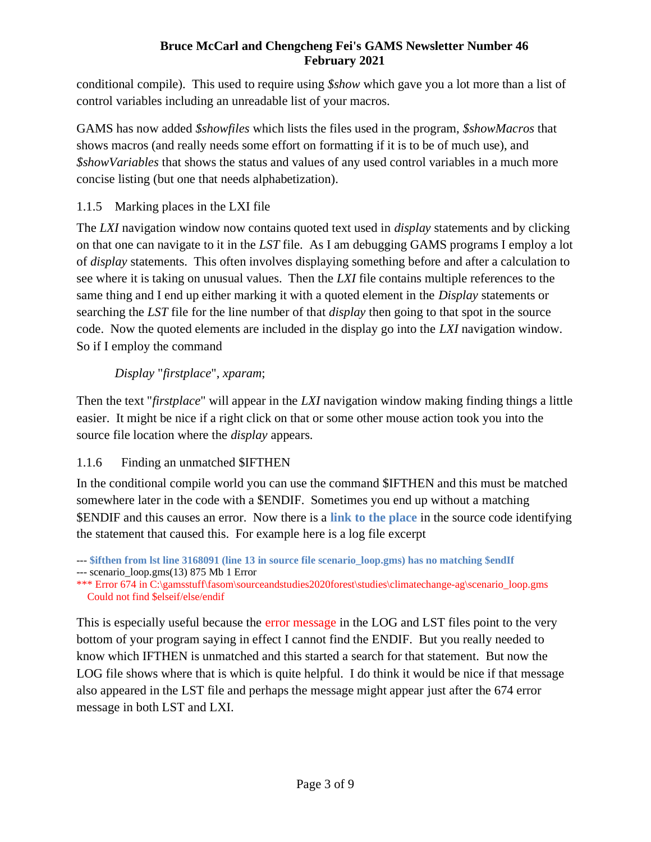conditional compile). This used to require using *\$show* which gave you a lot more than a list of control variables including an unreadable list of your macros.

GAMS has now added *\$showfiles* which lists the files used in the program, *\$showMacros* that shows macros (and really needs some effort on formatting if it is to be of much use), and *\$showVariables* that shows the status and values of any used control variables in a much more concise listing (but one that needs alphabetization).

### <span id="page-2-0"></span>1.1.5 Marking places in the LXI file

The *LXI* navigation window now contains quoted text used in *display* statements and by clicking on that one can navigate to it in the *LST* file. As I am debugging GAMS programs I employ a lot of *display* statements. This often involves displaying something before and after a calculation to see where it is taking on unusual values. Then the *LXI* file contains multiple references to the same thing and I end up either marking it with a quoted element in the *Display* statements or searching the *LST* file for the line number of that *display* then going to that spot in the source code. Now the quoted elements are included in the display go into the *LXI* navigation window. So if I employ the command

## *Display* "*firstplace*", *xparam*;

Then the text "*firstplace*" will appear in the *LXI* navigation window making finding things a little easier. It might be nice if a right click on that or some other mouse action took you into the source file location where the *display* appears.

# <span id="page-2-1"></span>1.1.6 Finding an unmatched \$IFTHEN

In the conditional compile world you can use the command \$IFTHEN and this must be matched somewhere later in the code with a \$ENDIF. Sometimes you end up without a matching \$ENDIF and this causes an error. Now there is a **link to the place** in the source code identifying the statement that caused this. For example here is a log file excerpt

This is especially useful because the error message in the LOG and LST files point to the very bottom of your program saying in effect I cannot find the ENDIF. But you really needed to know which IFTHEN is unmatched and this started a search for that statement. But now the LOG file shows where that is which is quite helpful. I do think it would be nice if that message also appeared in the LST file and perhaps the message might appear just after the 674 error message in both LST and LXI.

<sup>---</sup> **\$ifthen from lst line 3168091 (line 13 in source file scenario\_loop.gms) has no matching \$endIf** --- scenario\_loop.gms(13) 875 Mb 1 Error

<sup>\*\*\*</sup> Error 674 in C:\gamsstuff\fasom\sourceandstudies2020forest\studies\climatechange-ag\scenario\_loop.gms Could not find \$elseif/else/endif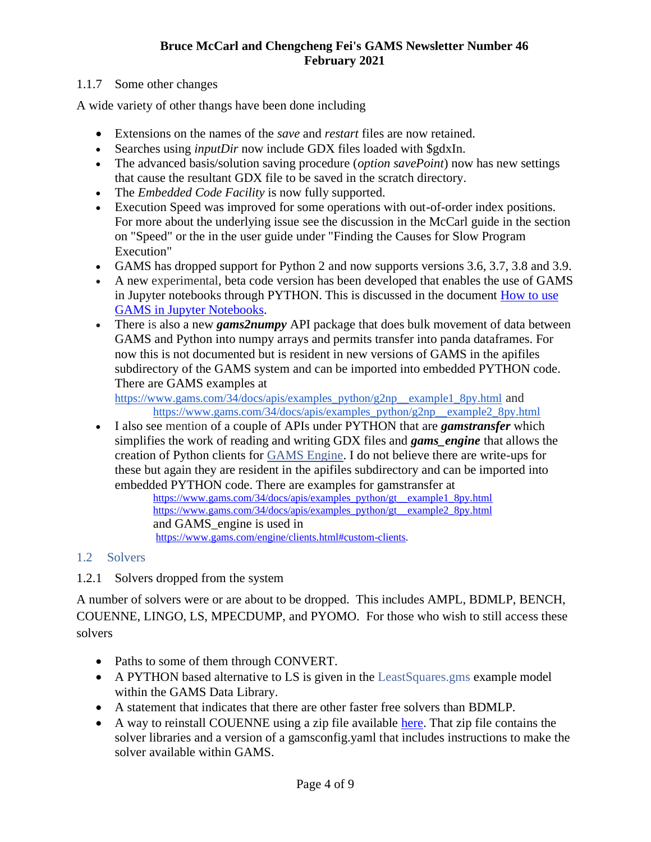#### <span id="page-3-0"></span>1.1.7 Some other changes

A wide variety of other thangs have been done including

- Extensions on the names of the *save* and *restart* files are now retained.
- Searches using *inputDir* now include GDX files loaded with \$gdxIn.
- The advanced basis/solution saving procedure (*option savePoint*) now has new settings that cause the resultant GDX file to be saved in the scratch directory.
- The *Embedded Code Facility* is now fully supported.
- Execution Speed was improved for some operations with out-of-order index positions. For more about the underlying issue see the discussion in the McCarl guide in the section on "Speed" or the in the user guide under "Finding the Causes for Slow Program Execution"
- GAMS has dropped support for Python 2 and now supports versions 3.6, 3.7, 3.8 and 3.9.
- A new experimental, beta code version has been developed that enables the use of GAMS in Jupyter notebooks through PYTHON. This is discussed in the document [How to use](https://www.gams.com/blog/2020/08/how-to-use-gams-in-jupyter-notebooks/)  [GAMS in Jupyter Notebooks.](https://www.gams.com/blog/2020/08/how-to-use-gams-in-jupyter-notebooks/)
- There is also a new *gams2numpy* API package that does bulk movement of data between GAMS and Python into numpy arrays and permits transfer into panda dataframes. For now this is not documented but is resident in new versions of GAMS in the apifiles subdirectory of the GAMS system and can be imported into embedded PYTHON code. There are GAMS examples at

[https://www.gams.com/34/docs/apis/examples\\_python/g2np\\_\\_example1\\_8py.html](https://www.gams.com/34/docs/apis/examples_python/g2np__example1_8py.html) and [https://www.gams.com/34/docs/apis/examples\\_python/g2np\\_\\_example2\\_8py.html](https://www.gams.com/34/docs/apis/examples_python/g2np__example2_8py.html)

• I also see mention of a couple of APIs under PYTHON that are *gamstransfer* which simplifies the work of reading and writing GDX files and *gams\_engine* that allows the creation of Python clients for [GAMS Engine.](https://www.gams.com/engine/) I do not believe there are write-ups for these but again they are resident in the apifiles subdirectory and can be imported into embedded PYTHON code. There are examples for gamstransfer at

[https://www.gams.com/34/docs/apis/examples\\_python/gt\\_\\_example1\\_8py.html](https://www.gams.com/34/docs/apis/examples_python/gt__example1_8py.html) [https://www.gams.com/34/docs/apis/examples\\_python/gt\\_\\_example2\\_8py.html](https://www.gams.com/34/docs/apis/examples_python/gt__example2_8py.html) and GAMS\_engine is used in [https://www.gams.com/engine/clients.html#custom-clients.](https://www.gams.com/engine/clients.html#custom-clients)

#### <span id="page-3-1"></span>1.2 Solvers

<span id="page-3-2"></span>1.2.1 Solvers dropped from the system

A number of solvers were or are about to be dropped. This includes AMPL, BDMLP, BENCH, COUENNE, LINGO, LS, MPECDUMP, and PYOMO. For those who wish to still access these solvers

- Paths to some of them through CONVERT.
- A PYTHON based alternative to LS is given in the Least Squares.gms example model within the GAMS Data Library.
- A statement that indicates that there are other faster free solvers than BDMLP.
- A way to reinstall COUENNE using a zip file available [here.](https://github.com/coin-or/GAMSlinks/releases) That zip file contains the solver libraries and a version of a gamsconfig.yaml that includes instructions to make the solver available within GAMS.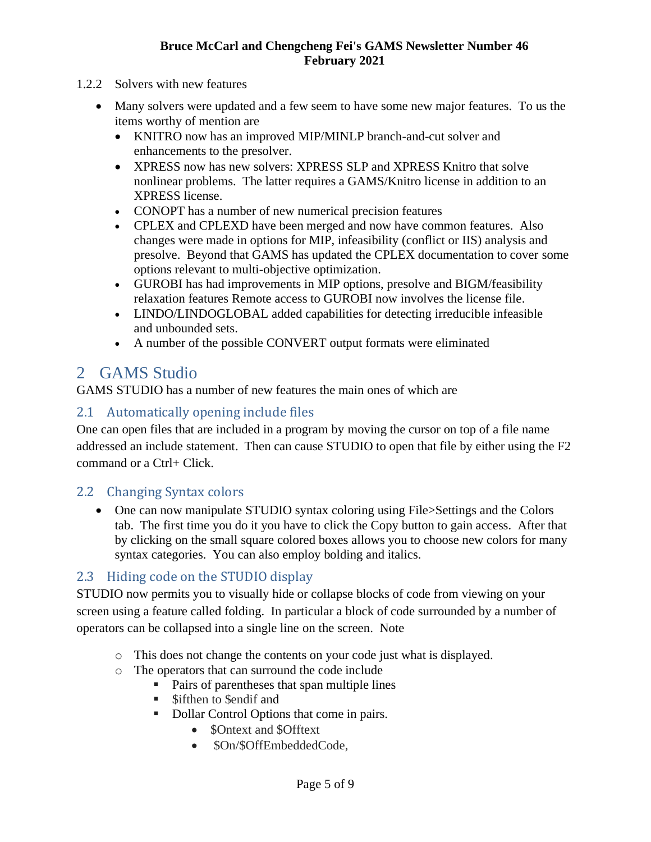- <span id="page-4-0"></span>1.2.2 Solvers with new features
	- Many solvers were updated and a few seem to have some new major features. To us the items worthy of mention are
		- KNITRO now has an improved MIP/MINLP branch-and-cut solver and enhancements to the presolver.
		- XPRESS now has new solvers: XPRESS SLP and XPRESS Knitro that solve nonlinear problems. The latter requires a GAMS/Knitro license in addition to an XPRESS license.
		- CONOPT has a number of new numerical precision features
		- CPLEX and CPLEXD have been merged and now have common features. Also changes were made in options for MIP, infeasibility (conflict or IIS) analysis and presolve. Beyond that GAMS has updated the CPLEX documentation to cover some options relevant to multi-objective optimization.
		- GUROBI has had improvements in MIP options, presolve and BIGM/feasibility relaxation features Remote access to GUROBI now involves the license file.
		- LINDO/LINDOGLOBAL added capabilities for detecting [irreducible infeasible](file:///C:/Users/mccarl/Downloads/S_LINDO.html%23LINDO_INFEASIBLE_UNBOUNDED)  [and unbounded sets.](file:///C:/Users/mccarl/Downloads/S_LINDO.html%23LINDO_INFEASIBLE_UNBOUNDED)
		- A number of the possible CONVERT output formats were eliminated

# <span id="page-4-1"></span>2 GAMS Studio

GAMS STUDIO has a number of new features the main ones of which are

## <span id="page-4-2"></span>2.1 Automatically opening include files

One can open files that are included in a program by moving the cursor on top of a file name addressed an include statement. Then can cause STUDIO to open that file by either using the F2 command or a Ctrl+ Click.

#### <span id="page-4-3"></span>2.2 Changing Syntax colors

• One can now manipulate STUDIO syntax coloring using File>Settings and the Colors tab. The first time you do it you have to click the Copy button to gain access. After that by clicking on the small square colored boxes allows you to choose new colors for many syntax categories. You can also employ bolding and italics.

## <span id="page-4-4"></span>2.3 Hiding code on the STUDIO display

STUDIO now permits you to visually hide or collapse blocks of code from viewing on your screen using a feature called folding. In particular a block of code surrounded by a number of operators can be collapsed into a single line on the screen. Note

- o This does not change the contents on your code just what is displayed.
- o The operators that can surround the code include
	- Pairs of parentheses that span multiple lines
	- Sifthen to \$endif and
	- Dollar Control Options that come in pairs.
		- **\$Ontext and \$Offtext**
		- \$On/\$OffEmbeddedCode.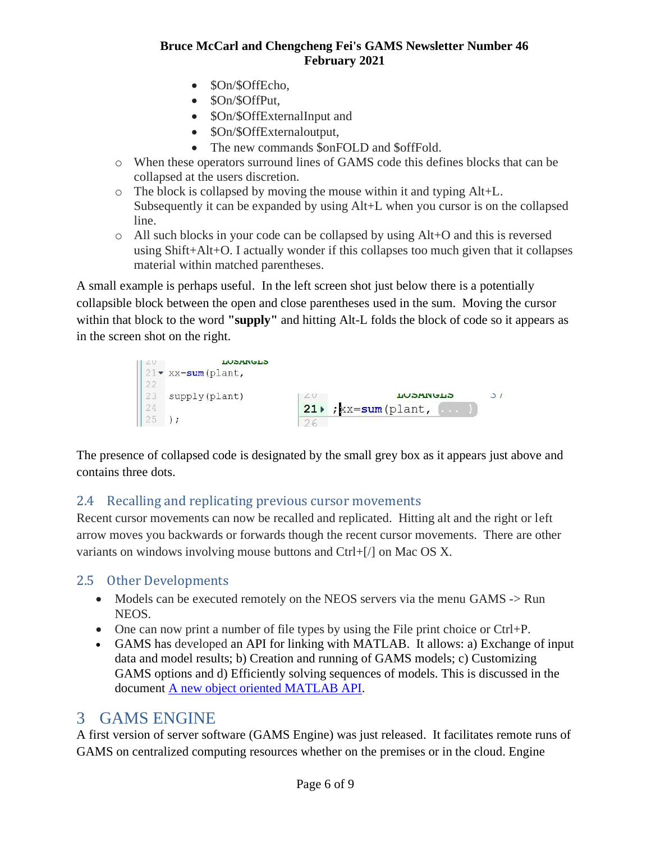- \$On/\$OffEcho,
- \$On/\$OffPut,
- \$On/\$OffExternalInput and
- \$On/\$OffExternaloutput,
- The new commands \$onFOLD and \$offFold.
- o When these operators surround lines of GAMS code this defines blocks that can be collapsed at the users discretion.
- o The block is collapsed by moving the mouse within it and typing Alt+L. Subsequently it can be expanded by using Alt+L when you cursor is on the collapsed line.
- o All such blocks in your code can be collapsed by using Alt+O and this is reversed using Shift+Alt+O. I actually wonder if this collapses too much given that it collapses material within matched parentheses.

A small example is perhaps useful. In the left screen shot just below there is a potentially collapsible block between the open and close parentheses used in the sum. Moving the cursor within that block to the word **"supply"** and hitting Alt-L folds the block of code so it appears as in the screen shot on the right.



The presence of collapsed code is designated by the small grey box as it appears just above and contains three dots.

# <span id="page-5-0"></span>2.4 Recalling and replicating previous cursor movements

Recent cursor movements can now be recalled and replicated. Hitting alt and the right or left arrow moves you backwards or forwards though the recent cursor movements. There are other variants on windows involving mouse buttons and Ctrl+[/] on Mac OS X.

## <span id="page-5-1"></span>2.5 Other Developments

- Models can be executed remotely on the NEOS servers via the menu GAMS -> Run NEOS.
- One can now print a number of file types by using the File print choice or Ctrl+P.
- GAMS has developed an API for linking with MATLAB. It allows: a) Exchange of input data and model results; b) Creation and running of GAMS models; c) Customizing GAMS options and d) Efficiently solving sequences of models. This is discussed in the document [A new object oriented MATLAB API.](https://www.gams.com/blog/2021/02/a-new-object-oriented-matlab-api/)

# <span id="page-5-2"></span>3 GAMS ENGINE

A first version of server software (GAMS Engine) was just released. It facilitates remote runs of GAMS on centralized computing resources whether on the premises or in the cloud. Engine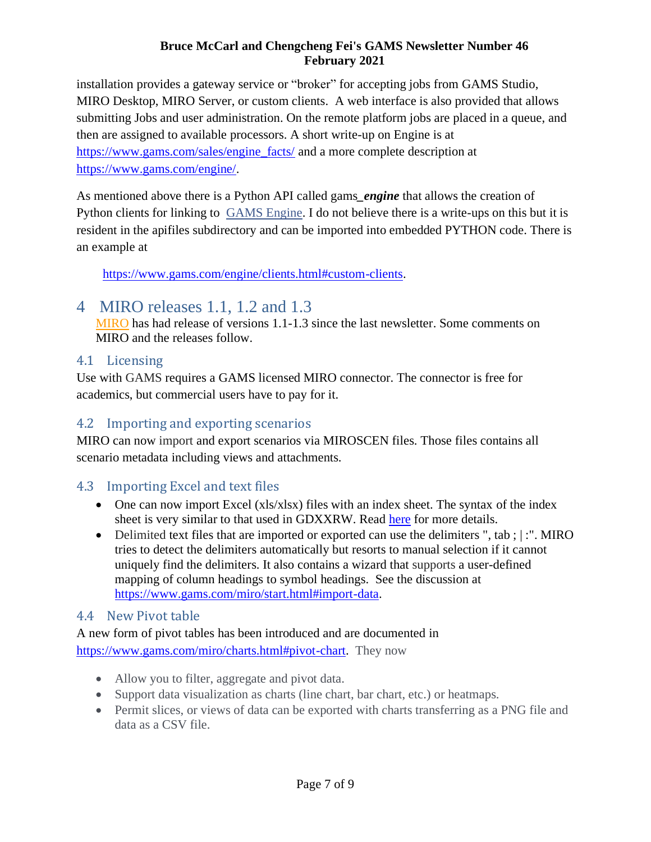installation provides a gateway service or "broker" for accepting jobs from GAMS Studio, MIRO Desktop, MIRO Server, or custom clients. A web interface is also provided that allows submitting Jobs and user administration. On the remote platform jobs are placed in a queue, and then are assigned to available processors. A short write-up on Engine is at [https://www.gams.com/sales/engine\\_facts/](https://www.gams.com/sales/engine_facts/) and a more complete description at [https://www.gams.com/engine/.](https://www.gams.com/engine/)

As mentioned above there is a Python API called gams*\_engine* that allows the creation of Python clients for linking to [GAMS Engine.](https://www.gams.com/engine/) I do not believe there is a write-ups on this but it is resident in the apifiles subdirectory and can be imported into embedded PYTHON code. There is an example at

[https://www.gams.com/engine/clients.html#custom-clients.](https://www.gams.com/engine/clients.html#custom-clients)

# <span id="page-6-0"></span>4 MIRO releases 1.1, 1.2 and 1.3

[MIRO](http://gams.com/miro) has had release of versions 1.1-1.3 since the last newsletter. Some comments on MIRO and the releases follow.

## <span id="page-6-1"></span>4.1 Licensing

Use with GAMS requires a GAMS licensed MIRO connector. The connector is free for academics, but commercial users have to pay for it.

# <span id="page-6-2"></span>4.2 Importing and exporting scenarios

MIRO can now import and export scenarios via MIROSCEN files. Those files contains all scenario metadata including views and attachments.

# <span id="page-6-3"></span>4.3 Importing Excel and text files

- One can now import Excel (xls/xlsx) files with an index sheet. The syntax of the index sheet is very similar to that used in GDXXRW. Read [here](https://www.gams.com/miro/start.html#excel-import-rules) for more details.
- Delimited text files that are imported or exported can use the delimiters ", tab ; |: ". MIRO tries to detect the delimiters automatically but resorts to manual selection if it cannot uniquely find the delimiters. It also contains a wizard that supports a user-defined mapping of column headings to symbol headings. See the discussion at [https://www.gams.com/miro/start.html#import-data.](https://www.gams.com/miro/start.html#import-data)

# <span id="page-6-4"></span>4.4 New Pivot table

A new form of pivot tables has been introduced and are documented in [https://www.gams.com/miro/charts.html#pivot-chart.](https://www.gams.com/miro/charts.html#pivot-chart) They now

- Allow you to filter, aggregate and pivot data.
- Support data visualization as charts (line chart, bar chart, etc.) or heatmaps.
- Permit slices, or views of data can be exported with charts transferring as a PNG file and data as a CSV file.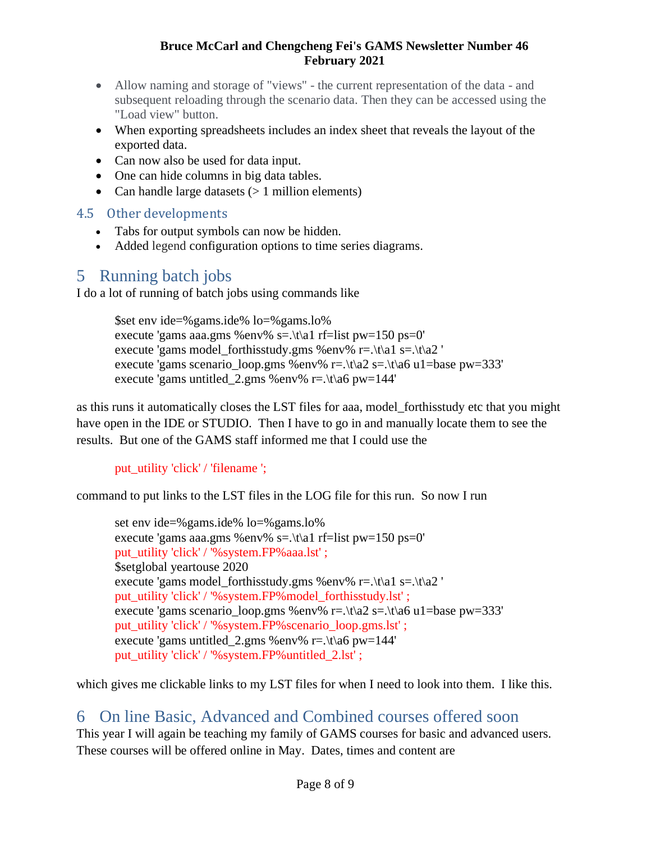- Allow naming and storage of "views" the current representation of the data and subsequent reloading through the scenario data. Then they can be accessed using the "Load view" button.
- When exporting spreadsheets includes an index sheet that reveals the layout of the exported data.
- Can now also be used for data input.
- One can hide columns in big data tables.
- Can handle large datasets  $(> 1$  million elements)

# <span id="page-7-0"></span>4.5 Other developments

- Tabs for output symbols can now be hidden.
- Added legend configuration options to time series diagrams.

# <span id="page-7-1"></span>5 Running batch jobs

I do a lot of running of batch jobs using commands like

\$set env ide=%gams.ide% lo=%gams.lo% execute 'gams aaa.gms %env% s=.\t\a1 rf=list pw=150 ps=0' execute 'gams model forthisstudy.gms %env% r=. $\frac{\tau}{a^2}$  s=. $\frac{\tau}{a^2}$  ' execute 'gams scenario loop.gms %env% r=. $\frac{\text{tr}\left(2 \text{ s} - \text{h}\right)}{2 \text{ s} - \text{h} \cdot \text{h} \cdot \text{h} \cdot \text{h} \cdot \text{h} \cdot \text{h} \cdot \text{h} \cdot \text{h} \cdot \text{h} \cdot \text{h} \cdot \text{h} \cdot \text{h} \cdot \text{h} \cdot \text{h} \cdot \text{h} \cdot \text{h} \cdot \text{h} \cdot \text{h} \cdot \text{h} \cdot \text{h} \cdot \text{h} \cdot \$ execute 'gams untitled\_2.gms %env% r=. $\frac{\text{tr} - \text{tr} - \text{tr}}{44'}$ 

as this runs it automatically closes the LST files for aaa, model\_forthisstudy etc that you might have open in the IDE or STUDIO. Then I have to go in and manually locate them to see the results. But one of the GAMS staff informed me that I could use the

# put\_utility 'click' / 'filename ';

command to put links to the LST files in the LOG file for this run. So now I run

set env ide=%gams.ide% lo=%gams.lo% execute 'gams aaa.gms %env% s=.\t\a1 rf=list pw=150 ps=0' put\_utility 'click' / '%system.FP%aaa.lst' ; \$setglobal yeartouse 2020 execute 'gams model\_forthisstudy.gms %env% r=.\t\a1 s=.\t\a2 ' put\_utility 'click' / '%system.FP%model\_forthisstudy.lst' ; execute 'gams scenario loop.gms %env% r=. $\frac{\text{tr}}{2}$  s=. $\frac{\text{tr}}{2}$  s=. $\frac{\text{tr}}{2}$  s=. put\_utility 'click' / '%system.FP%scenario\_loop.gms.lst' ; execute 'gams untitled\_2.gms %env% r=. $\frac{\text{ln}6 \text{ p}}{44'}$ put\_utility 'click' / '%system.FP%untitled\_2.lst' ;

which gives me clickable links to my LST files for when I need to look into them. I like this.

# <span id="page-7-2"></span>6 On line Basic, Advanced and Combined courses offered soon

This year I will again be teaching my family of GAMS courses for basic and advanced users. These courses will be offered online in May. Dates, times and content are